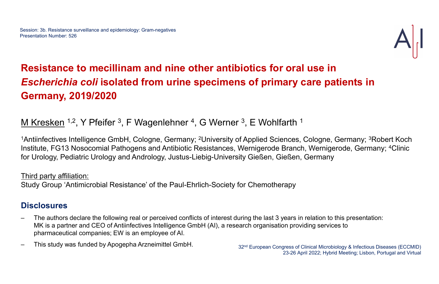# Session: 3b. Resistance surveillance and epidemiology: Gram-negatives<br>Presentation Number: 526<br>Esc*herichia coli* isolated from urine specimens of primary care patients i Escherichia coli isolated from urine specimens of primary care patients in Germany, 2019/2020 **Resistance to mecillinam and nine other antibiotics for oral use in**<br> **Escherichia coli isolated from urine specimens of primary care patients in**<br> **Germany, 2019/2020**<br>
<u>M Kresken 1:2,</u> Y Pfeifer 3, F Wagenlehner 4, G We

## M Kresken <sup>1,2</sup>, Y Pfeifer <sup>3</sup>, F Wagenlehner <sup>4</sup>, G Werner <sup>3</sup>, E Wohlfarth <sup>1</sup>

<sup>1</sup>Antiinfectives Intelligence GmbH, Cologne, Germany; <sup>2</sup>University of Applied Sciences, Cologne, Germany; <sup>3</sup>Robert Koch Institute, FG13 Nosocomial Pathogens and Antibiotic Resistances, Wernigerode Branch, Wernigerode, Germany; 4Clinic Hartinectives Intelligence GmbH, Cologne, Germany; <sup>2</sup>University of Applied Sciences, Cologne, Germany; <sup>3</sup>Robert Koch Institute, FG13 Nosocomial Pathogens and Antibiotic Resistances, Wernigerode Branch, Wernigerode, Germa

- MK is a partner and CEO of Antiinfectives Intelligence GmbH (AI), a research organisation providing services to pharmaceutical companies; EW is an employee of AI. For Urology, Pediatric Urology and Andrology, Justus-Liebig-University Gießen, Gießen, Germany<br>
Third party affiliation:<br>
Study Group 'Antimicrobial Resistance' of the Paul-Ehrlich-Society for Chemotherapy<br>
Disclosures<br>
—
- 

## Third party affiliation:

Study Group 'Antimicrobial Resistance' of the Paul-Ehrlich-Society for Chemotherapy

## **Disclosures**

23-26 April 2022; Hybrid Meeting; Lisbon, Portugal and Virtual

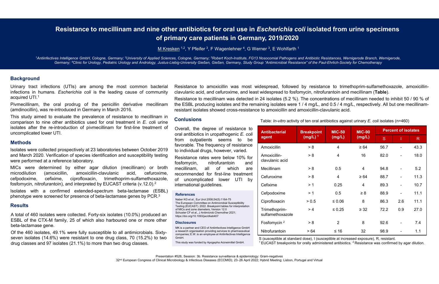# **Examplementary Care infections (UTIs)**<br>
Mention the most common bacterial ending of primary care patients in Germany,<br>
"Antinfectives Intelligence GmbH, Cologne, Germany: "University of Applied Sciences, Cologne, Germany: **Examplementations in Humans.** Escherichia coli is the leading cause of community care patients in Germany<br>
Multimated and the leading cause of primary care patients in Germany<br>
"Antimitedives Intelligence GmbH. Cologne, G **Example 10 The State Connection Consumer Connection Consumer Connection Consumer Connection Consumer Connection Consumer Consumer Connection Consumer Consumer Consumer Consumer Consumer Consumer Consumer Consumer Consumer This study aimed to mecillinam and nine other antibiotics for oral use in** *Escherica***<br>
Microstepters are patients in Germany, 2019<br>
Microstepters and Microstepters and Microstepters and Microsoft Cologne, Germany, <sup>2</sup>Uni** Resistance to mecillinam and nine other antibiotics for oral use in *Escherichia coli* isolated from urine specimens<br>of primary care patients in Germany, 2019/2020<br>M Kresken 12, Y Pfeifer 3, F Wagenlehner 4, G Werner 3, E of primary care patients in Germany, 2019/2020 Resistance to mecillinam and nine other antibiotics for oral use in *Escherichia coli* isolated from urine specimens<br>of primary care patients in Germany, 2019/2020<br>Michael Sciences, Intelligence GmbH, Cologne, Germany; <sup>2</sup> **Resistance to mecillinam and nine other antibiotics for oral use in Escherichia coli isolated from urine specimens**<br>
of primary care patients in Germany, 2019/2020<br>
Microsofthe Cology, Pediatric Urology, and Andrology, Ju

### **Background**

**Example 16 Constrained Accepts Constrained Accepts Accepts Accepts (Accepts Accepts Accepts Accepts Accepts Accepts Accepts Accepts Accepts Accepts Accepts Accepts University of Background<br>Urinary tract infections (UTIs)** 

**Example 12.1**<br> **Example 12.1**<br> **Antilinfectives Intelligence GmbH, Cologne, Germany:** <sup>2</sup>University of Applied Sciences, Cologne, Germany: <sup>2</sup>Net Fere <sup>1</sup>, F Wagenlehm<br>
<sup>1</sup>Antilinfectives Intelligence GmbH, Cologne, Germa **CONSTRANCE CO INTERNATA AND THIS OFFER ATTENTS IN SECTION CONSTRANCE STATES TO THE USE THE SCIPE OF DETERMANY CARRED 12, Y Prefere <sup>3</sup>, E Wagenlehher <sup>4</sup>, G Wemer<sup>5</sup>, E Wagenlehher <sup>4</sup>, G Wemer<sup>5</sup>, E Wagenlehher 4, G Wem in the re-introduction of pivmecillinam for the re-introduction of pivmecillinam for first-line treatment of Common and Estimate the results of a pivilinary tensor (Common Scheme Common Scheme Common Scheme Common Scheme** <sup>2</sup> Antiinfectives Intelligence GmbH, Cologne, Germany; <sup>2</sup>University of Applied Science Cermany; <sup>4</sup>University of Applied Science Cermany; <sup>4</sup>University of Applied Science Cermany; <sup>4</sup>Unite for Urology, Pediatric Urology Fantimetities Intelligence GmbH, Cologne, Germany, "University of Applied Sciences. Cologne, Germany, "Robert Koch-Institute, FG13 Noscomm<br>
Germany, "Clinic for Urology, Pediatric Urology and Andrology, Justis-Liebig-Univ Germany, "Clinic for Unology, Pediatric Diology, and Androidgy, Justics-Lebig-University Gieden, Germany, Study Group "Anti-<br>
Identifications in humans. Escherichia coli is the leading cause of community davulanic acid, an **Background**<br>
Urinary tract infections (UTIs) are among the most common bacterial Resistan<br>
inceluming the most common bacterial Resistan<br>
acquired UTI.<sup>1</sup><br>
Pivmecillinam, the oral prodrug of the penicillin derivative mec

#### **Methods**

Certification of binne of the action of the methodics used to foral treatment in E. coli unit and a total of the degree of resistance to a series were collected prospectively at 23 laboratories between October 2019 for a solates were collected prospectively at 23 laboratories between October 2019 or an antibiotics in uropatheogen ic E. coli<br>
solates were collected prospectively at 23 laboratories between October 2019 to individual drugs, h uncomplicated lower UTI.<br>
Methods<br>
Isolates were collected prospectively at 23 laboratories between October 2<br>
and March 2020. Verification of species identification and susceptibility tes<br>
were performed at a reference la Methods<br>
Sloades were collected prospectively at 23 laboratories between October 2019<br>
Sloades, The frequency of resistance<br>
and March 2020. Verification of species identification and susceptibility testing<br>
Michael and da Solates were collected prospectively at 23 laboratories between October 2019 to individual drugs, however, varied.<br>
Monoidiual drugs, however, varied.<br>
Monoidiual drugs, however, varied.<br>
Monoidiual drugs, however, varied. Solates were columbiation of species identification and susceptibility testing<br>
and March 2020. Verification of species identification and susceptibility testing<br>
were performed at a reference laboratory.<br>
Introduction and **Background**<br>
Urinary tract infections (UTIs) are among the most common bacterial Resistance to amoxicillin was most widesper<br>
acquired UTI.<sup>1</sup><br>
Pivrinecillinam, the oral product of is the leading cause of community clavul During variations (UTIs) are among the most common bacterial Resistance to amoxicillin, was most wide<br>
interdions in humans. Escherichia coli is the leading cause of community clavulanic acid, and cefuroxime, and least v<br> Uriary tract infections (UTIs) are among the most common bacterial Resistance to amoxic and contriduct and controllinam, the oral produg of the penicillin derivative mecillinam the ESBL producing is existance to mecillina infections in humans. *Escherichia coli* is the leading cause of community clavulanic acid, and cefurcoxime, and leading caused interpretent interpretent (and<br>incollection), was re-introduced in Germany in March 2016.<br>
Thi Explies were collected in Smallenberg of the penicillin derivative medilinam the ESBL producing isolates and the remaining (amdinocillin, was re-introduced in Germany in March 2016.<br>
This study aimed to evaluate the preval **Phemosiling the medical propertion of the periodic frequency of estistate were collected in Germany in Match 2016.**<br>
This study aimed to evaluate the prevalence of resistance to mecillinam in Contusions to the dente a fi

#### **Results**

**Example 12**<br> **Example 2011 Alternative Constrainer A.** G. Wenner <sup>3</sup>, E. Wohlfarth 1<br>
E. Cologne, Germany, <sup>5</sup>Robert Koch-Institute, FG13 Nosocomial Pathogens and Antibiotic Resistances, Wemigerode to<br>
66-University Gieß **Example 12.** Y Pfeifer 3, F Wagenlehner 4, G Wenre 3, E Wohlfarth 1<br>
s. Cologne, Germany, <sup>s</sup>Robert Koch-Institute, FG13 Nosocomial Pathogens and Antibiotic Resistances, Wemigerode<br>
ig-University Gießen, Gießen, Germany **Example 12**<br> **Example 12**<br> **Example 12**<br> **Example 12**<br> **Example 12**<br> **Example 12**<br> **Example 12**<br> **Example 12**<br> **Example 12**<br> **Example 12**<br> **Example 12**<br> **Example 12**<br> **Example 12**<br> **Example 12**<br> **Example 12**<br> **Example 1 Example.** Cologne, Germany: Frabert Koch-Institute, FG13 Nosocomial Pathogens and Antibiotic Resistances Weig-University Gießen, Gießen, Germany, Study Group "Antimicrobial Resistance" of the Paul-Ehrlich-Society and Eco s. Cologne, Germany, "Robert Koch-Institute, FG13 Noscomial Pathogens and Antibiotic Resistances Were<br>to ign-University Gießen, Gießen, Germany, Study Group "Antimicrobial Resistance" of the Paul-Ehrlich-Society<br>Clause th **r antibiotics for oral use in Escherichia coli isolated from urine specimens<br>any care patients in Germany, 2019/2020<br><u>en 12, Y</u> Pfeifer 3, F Wagenlehner <sup>4</sup>, G Werner 3, E Wohlfarth 1<br>a. Cologne, Germany, "Roben Koch-Inst r antibiotics for oral use in** *Escherichia coli* **isolated from urine specimens<br>nary care patients in Germany, 2019/2020**<br><u>en<sup>12</sup>, Y Pfeifer<sup>3</sup>, F Wagenlehner<sup>4</sup>, G Werner<sup>3</sup>, E Wohlfarth <sup>1</sup><br>5. Cologne. Germany: "Robert K</u> **Resistance to mechanical in Escherichia coli isolated from urine specimens<br>
Anary care patients in Germany, 2019/2020<br>
En<sup>12</sup>, Y Pfeifer<sup>3</sup>, F Wagenlehner<sup>4</sup>, G Werner<sup>3</sup>, E Wohlfarth<sup>1</sup><br>
5. Cologne. Germany: <sup>9</sup>Robert Ko the ESBL producing isolates and the remaining isolates and Ambiote Resistances. Wemigerode Branch, Wemigerode, and and the remaining isolates and Ambiote Resistances. Wemigerode Branch, Wemigerode, Colopne, Germany, "Rob resistant Solates Showed Exception 1 Solated from urine speciments<br>
Showed party care patients in Germany, 2019/2020<br>
Showed cross-resistant in Solated from urine speciments<br>
Showed cross-resistance to amoxicilin-<br>
Showed** 

### **Conlusions**

#### **References**

| most common bacterial<br>ling cause of community                                                                        | Resistance to amoxicillin was most widespread, followed by resistance to trimethoprim-sulfamethoxazole, amoxicillin-<br>clavulanic acid, and cefuroxime, and least widespread to fosfomycin, nitrofurantoin and mecillinam (Table).                                                                                                                            |                                                                                                                                                                                                      |                   |                |               |                            |     |                 |  |  |  |
|-------------------------------------------------------------------------------------------------------------------------|----------------------------------------------------------------------------------------------------------------------------------------------------------------------------------------------------------------------------------------------------------------------------------------------------------------------------------------------------------------|------------------------------------------------------------------------------------------------------------------------------------------------------------------------------------------------------|-------------------|----------------|---------------|----------------------------|-----|-----------------|--|--|--|
| in derivative mecillinam<br>:h 2016.                                                                                    | Resistance to mecillinam was detected in 24 isolates (5.2 %). The concentrations of mecillinam needed to inhibit 50 / 90 % of<br>the ESBL producing isolates and the remaining isolates were 1 / 4 mg/L, and 0.5 / 4 mg/L, respectively. All but one mecillinam-<br>resistant isolates showed cross-resistance to amoxicillin and amoxicillin-clavulanic acid. |                                                                                                                                                                                                      |                   |                |               |                            |     |                 |  |  |  |
| sistance to mecillinam in<br>treatment in E. coli urine<br>for first-line treatment of                                  | <b>Conlusions</b>                                                                                                                                                                                                                                                                                                                                              | Table: <i>In-vitro</i> activity of ten oral antibiotics against urinary <i>E. coli</i> isolates (n=460)                                                                                              |                   |                |               |                            |     |                 |  |  |  |
|                                                                                                                         | Overall, the degree of resistance to<br>oral antibiotics in uropathogenic E. coli                                                                                                                                                                                                                                                                              | <b>Antibacterial</b>                                                                                                                                                                                 | <b>Breakpoint</b> | <b>MIC-50</b>  | <b>MIC-90</b> | <b>Percent of isolates</b> |     |                 |  |  |  |
|                                                                                                                         | outpatients seems to<br>from<br>be<br>favorable. The frequency of resistance                                                                                                                                                                                                                                                                                   | agent                                                                                                                                                                                                | $(mg/L)^1$        | (mg/L)         | (mg/L)        | S.                         |     | $R_{\parallel}$ |  |  |  |
| es between October 2019<br>and susceptibility testing                                                                   | to individual drugs, however, varied.                                                                                                                                                                                                                                                                                                                          | Amoxicillin                                                                                                                                                                                          | > 8               | 4              | $\geq 64$     | 56.7                       |     | 43.3            |  |  |  |
|                                                                                                                         | Resistance rates were below 10% for<br>nitrofurantoin<br>fosfomycin,<br>and                                                                                                                                                                                                                                                                                    | Amoxicillin-<br>clavulanic acid                                                                                                                                                                      | > 8               | $\overline{4}$ | 16            | 82.0                       |     | 18.0            |  |  |  |
| (mecillinam) or broth<br>cefuroxime,<br>$\mathbf{C}$<br>acid,<br>hoprim-sulfamethoxazole,<br>ST criteria (v.12.0). $^2$ | mecillinam,<br>which<br>all<br>of<br>are                                                                                                                                                                                                                                                                                                                       | Mecillinam                                                                                                                                                                                           | > 8               | 0.5            | 4             | 94.8                       |     | 5.2             |  |  |  |
|                                                                                                                         | recommended for first-line treatment<br>lower UTI by<br>of uncomplicated<br>international guidelines.                                                                                                                                                                                                                                                          | Cefuroxime                                                                                                                                                                                           | > 8               | 4              | $\geq 64$     | 88.7                       |     | 11.3            |  |  |  |
|                                                                                                                         |                                                                                                                                                                                                                                                                                                                                                                | Cefixime                                                                                                                                                                                             | >1                | 0.25           | 4             | 89.3                       |     | 10.7            |  |  |  |
| beta-lactamase (ESBL)<br>mase genes by PCR. $^3$                                                                        | <b>References</b>                                                                                                                                                                                                                                                                                                                                              | Cefpodoxime                                                                                                                                                                                          | >1                | 0.5            | $\geq 8$      | 88.9                       |     | 11.1            |  |  |  |
|                                                                                                                         | Naber KG et al., Eur Urol 2008;54(5):1164-75<br>The European Committee on Antimicrobial Susceptibility                                                                                                                                                                                                                                                         | Ciprofloxacin                                                                                                                                                                                        | > 0.5             | $\leq 0.06$    | 8             | 86.3                       | 2.6 | 11.1            |  |  |  |
| tes (10.0%) produced an                                                                                                 | Testing (EUCAST). 2022. Breakpoint tables for interpretation<br>of MICs and zone diameters, Version 12.0<br>Schuster CF et al., J Antimicrob Chemother 2021;<br>https://doi.org/10.1093/jac/dkab407                                                                                                                                                            | Trimethoprim-<br>sulfamethoxazole                                                                                                                                                                    | >4                | $\leq 0.25$    | $\geq$ 32     | 72.2                       | 0.9 | 27.0            |  |  |  |
| oured one or more other                                                                                                 | <b>Disclosures</b>                                                                                                                                                                                                                                                                                                                                             | Fosfomycin <sup>2</sup>                                                                                                                                                                              | > 8               | $\overline{2}$ | 8             | 92.6                       |     | 7.4             |  |  |  |
| all antimicrobials. Sixty-                                                                                              | MK is a partner and CEO of Antiinfectives Intelligence GmbH<br>a research organisation providing services to pharmaceutical<br>companies; E.W. is an employee at Antiinfectives Intelligence                                                                                                                                                                   | Nitrofurantoin                                                                                                                                                                                       | >64               | $≤ 16$         | 32            | 98.9                       |     | 1.1             |  |  |  |
| class, 70 (15.2%) to two<br>vo drug classes.                                                                            | GmbH.<br>This study was funded by Apogepha Arzneimittel GmbH.                                                                                                                                                                                                                                                                                                  | S (susceptible at standard dose), I (susceptible at increased exposure), R, resistant.<br>$1$ EUCAST breakpoints for orally administered antibiotics. $2$ Resistance was confirmed by agar dilution. |                   |                |               |                            |     |                 |  |  |  |

#### **Disclosures**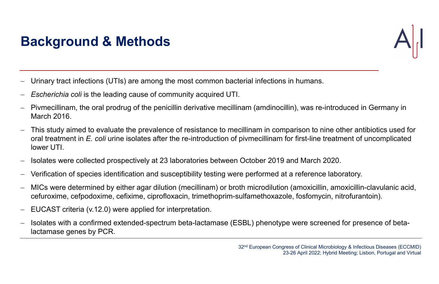- Urinary tract infections (UTIs) are among the most common bacterial infections in humans.
- Escherichia coli is the leading cause of community acquired UTI.
- Pivmecillinam, the oral prodrug of the penicillin derivative mecillinam (amdinocillin), was re-introduced in Germany in March 2016.
- This study aimed to evaluate the prevalence of resistance to mecillinam in comparison to nine other antibiotics used for oral treatment in E. coli urine isolates after the re-introduction of pivmecillinam for first-line treatment of uncomplicated lower UTI.
- Isolates were collected prospectively at 23 laboratories between October 2019 and March 2020.
- Verification of species identification and susceptibility testing were performed at a reference laboratory.
- MICs were determined by either agar dilution (mecillinam) or broth microdilution (amoxicillin, amoxicillin-clavulanic acid, cefuroxime, cefpodoxime, cefixime, ciprofloxacin, trimethoprim-sulfamethoxazole, fosfomycin, nitrofurantoin).
- EUCAST criteria (v.12.0) were applied for interpretation.
- Isolates with a confirmed extended-spectrum beta-lactamase (ESBL) phenotype were screened for presence of betalactamase genes by PCR.



# Background & Methods

32nd European Congress of Clinical Microbiology & Infectious Diseases (ECCMID) 23-26 April 2022; Hybrid Meeting; Lisbon, Portugal and Virtual